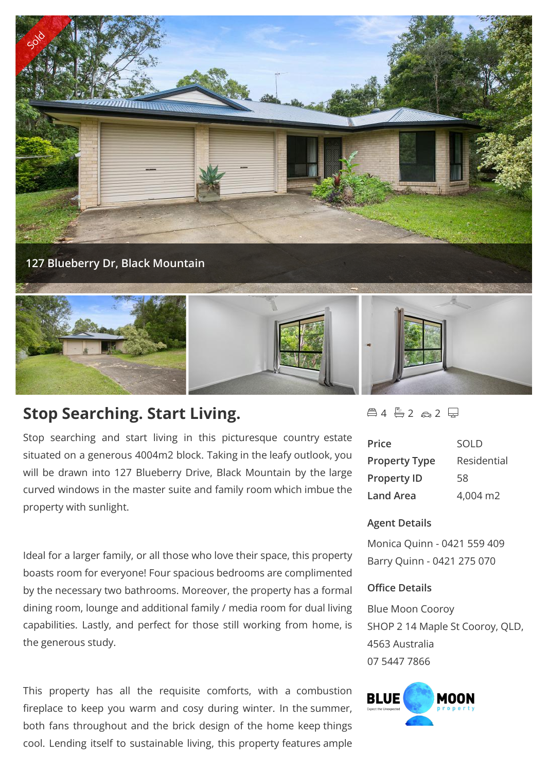

## **Stop Searching. Start Living.**

Stop searching and start living in this picturesque country estate situated on a generous 4004m2 block. Taking in the leafy outlook, you will be drawn into 127 Blueberry Drive, Black Mountain by the large curved windows in the master suite and family room which imbue the property with sunlight.

Ideal for a larger family, or all those who love their space, this property boasts room for everyone! Four spacious bedrooms are complimented by the necessary two bathrooms. Moreover, the property has a formal dining room, lounge and additional family / media room for dual living capabilities. Lastly, and perfect for those still working from home, is the generous study.

This property has all the requisite comforts, with a combustion **BLUE** fireplace to keep you warm and cosy during winter. In the summer, both fans throughout and the brick design of the home keep things cool. Lending itself to sustainable living, this property features ample

## $4 - 2 - 2 = 2$

| Price                | SOLD        |
|----------------------|-------------|
| <b>Property Type</b> | Residential |
| <b>Property ID</b>   | 58          |
| Land Area            | 4,004 m2    |

## **Agent Details**

Monica Quinn - 0421 559 409 Barry Quinn - 0421 275 070

## **Office Details**

Blue Moon Cooroy SHOP 2 14 Maple St Cooroy, QLD, 4563 Australia 07 5447 7866